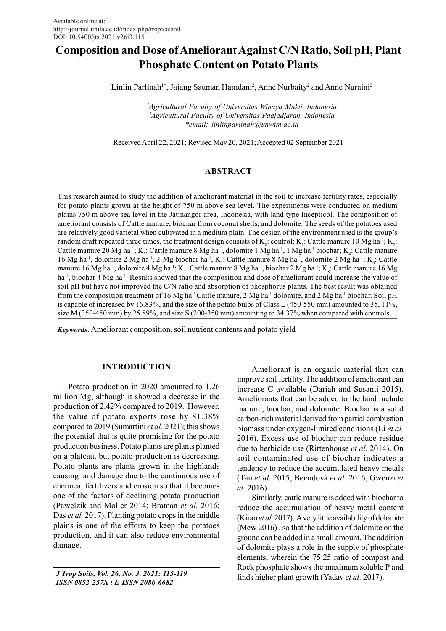# Composition and Dose of Ameliorant Against C/N Ratio, Soil pH, Plant Phosphate Content on Potato Plants

Linlin Parlinah<sup>1\*</sup>, Jajang Sauman Hamdani<sup>2</sup>, Anne Nurbaity<sup>2</sup> and Anne Nuraini<sup>2</sup>

<sup>1</sup>Agricultural Faculty of Universitas Winaya Mukti, Indonesia <sup>2</sup>Agricultural Faculty of Universitas Padjadjaran, Indonesia \*email: linlinparlinah@unwim.ac.id

Received April 22, 2021; Revised May 20, 2021; Accepted 02 September 2021

# ABSTRACT

This research aimed to study the addition of ameliorant material in the soil to increase fertility rates, especially for potato plants grown at the height of 750 m above sea level. The experiments were conducted on medium plains 750 m above sea level in the Jatinangor area, Indonesia, with land type Incepticol. The composition of ameliorant consists of Cattle manure, biochar from coconut shells, and dolomite. The seeds of the potatoes used are relatively good varietal when cultivated in a medium plain. The design of the environment used is the group's random draft repeated three times, the treatment design consists of  $K_0$ : control;  $K_1$ : Cattle manure 10 Mg ha<sup>-1</sup>;  $K_2$ : Cattle manure 20 Mg ha<sup>-1</sup>; K<sub>3</sub>: Cattle manure 8 Mg ha<sup>-1</sup>, dolomite 1 Mg ha<sup>-1</sup>, 1 Mg ha<sup>-1</sup> biochar; K<sub>4</sub>: Cattle manure 16 Mg ha<sup>-1</sup>, dolomite 2 Mg ha<sup>-1</sup>, 2-Mg biochar ha<sup>-1</sup>, K<sub>5</sub>: Cattle manure 8 Mg ha<sup>-1</sup>, dolomite 2 Mg ha<sup>-1</sup>; K<sub>6</sub>: Cattle manure 16 Mg ha<sup>-1</sup>, dolomite 4 Mg ha<sup>-1</sup>; K<sub>7</sub>: Cattle manure 8 Mg ha<sup>-1</sup>, biochar 2 Mg ha<sup>-1</sup>; K<sub>8</sub>: Cattle manure 16 Mg ha<sup>-1</sup>, biochar 4 Mg ha<sup>-1</sup>. Results showed that the composition and dose of ameliorant could increase the value of soil pH but have not improved the C/N ratio and absorption of phosphorus plants. The best result was obtained from the composition treatment of 16 Mg ha-1 Cattle manure, 2 Mg ha-1 dolomite, and 2 Mg ha-1 biochar. Soil pH is capable of increased by 16.83%, and the size of the potato bulbs of Class L (450-550 mm) amounted to 35, 11%, size M (350-450 mm) by 25.89%, and size S (200-350 mm) amounting to 34.37% when compared with controls.

Keywords: Ameliorant composition, soil nutrient contents and potato yield

## INTRODUCTION

Potato production in 2020 amounted to 1.26 million Mg, although it showed a decrease in the production of 2.42% compared to 2019. However, the value of potato exports rose by 81.38% compared to 2019 (Sumartini et al. 2021); this shows the potential that is quite promising for the potato production business. Potato plants are plants planted on a plateau, but potato production is decreasing. Potato plants are plants grown in the highlands causing land damage due to the continuous use of chemical fertilizers and erosion so that it becomes one of the factors of declining potato production (Pawelzik and Moller 2014; Braman et al. 2016; Das *et al.* 2017). Planting potato crops in the middle plains is one of the efforts to keep the potatoes production, and it can also reduce environmental damage.

 J Trop Soils, Vol. 26, No. 3, 2021: 115-119 ISSN 0852-257X ; E-ISSN 2086-6682

Ameliorant is an organic material that can improve soil fertility. The addition of ameliorant can increase C available (Dariah and Susanti 2015). Ameliorants that can be added to the land include manure, biochar, and dolomite. Biochar is a solid carbon-rich material derived from partial combustion biomass under oxygen-limited conditions (Li et al. 2016). Excess use of biochar can reduce residue due to herbicide use (Rittenhouse et al. 2014). On soil contaminated use of biochar indicates a tendency to reduce the accumulated heavy metals (Tan et al. 2015; Bøendová et al. 2016; Gwenzi et al. 2016).

Similarly, cattle manure is added with biochar to reduce the accumulation of heavy metal content (Kiran et al. 2017). A very little availability of dolomite (Mew 2016) , so that the addition of dolomite on the ground can be added in a small amount. The addition of dolomite plays a role in the supply of phosphate elements, wherein the 75:25 ratio of compost and Rock phosphate shows the maximum soluble P and finds higher plant growth (Yadav et al. 2017).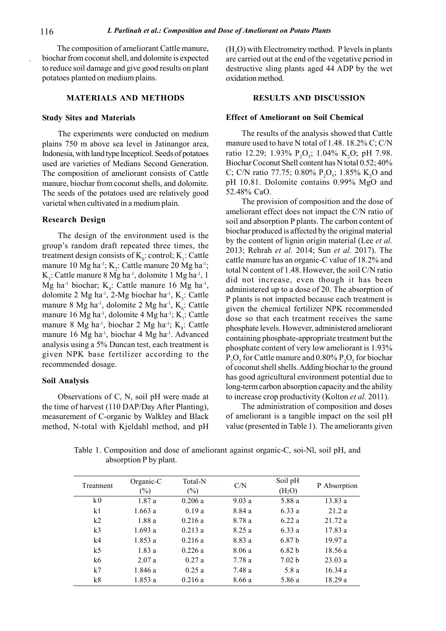The composition of ameliorant Cattle manure, biochar from coconut shell, and dolomite is expected to reduce soil damage and give good results on plant potatoes planted on medium plains.

## MATERIALS AND METHODS

#### Study Sites and Materials

The experiments were conducted on medium plains 750 m above sea level in Jatinangor area, Indonesia, with land type Incepticol. Seeds of potatoes used are varieties of Medians Second Generation. The composition of ameliorant consists of Cattle manure, biochar from coconut shells, and dolomite. The seeds of the potatoes used are relatively good varietal when cultivated in a medium plain.

## Research Design

The design of the environment used is the group's random draft repeated three times, the treatment design consists of  $K_0$ : control;  $K_1$ : Cattle manure 10 Mg ha<sup>-1</sup>;  $K_2$ : Cattle manure 20 Mg ha<sup>-1</sup>;  $K_3$ : Cattle manure 8 Mg ha<sup>-1</sup>, dolomite 1 Mg ha<sup>-1</sup>, 1 Mg ha<sup>-1</sup> biochar;  $K_4$ : Cattle manure 16 Mg ha<sup>-1</sup>, dolomite 2 Mg ha<sup>-1</sup>, 2-Mg biochar ha<sup>-1</sup>, K<sub>5</sub>: Cattle manure 8 Mg ha<sup>-1</sup>, dolomite 2 Mg ha<sup>-1</sup>,  $K_{6}$ : Cattle manure 16 Mg ha<sup>-1</sup>, dolomite 4 Mg ha<sup>-1</sup>; K<sub>7</sub>: Cattle manure 8 Mg ha<sup>-1</sup>, biochar 2 Mg ha<sup>-1</sup>;  $K_s$ : Cattle manure 16 Mg ha-1, biochar 4 Mg ha-1. Advanced analysis using a 5% Duncan test, each treatment is given NPK base fertilizer according to the recommended dosage.

### Soil Analysis

Observations of C, N, soil pH were made at the time of harvest (110 DAP/Day After Planting), measurement of C-organic by Walkley and Black method, N-total with Kjeldahl method, and pH  $(H<sub>2</sub>O)$  with Electrometry method. P levels in plants are carried out at the end of the vegetative period in destructive sling plants aged 44 ADP by the wet oxidation method.

#### RESULTS AND DISCUSSION

#### Effect of Ameliorant on Soil Chemical

The results of the analysis showed that Cattle manure used to have N total of 1.48. 18.2% C; C/N ratio 12.29; 1.93%  $P_2O_5$ ; 1.04%  $K_2O$ ; pH 7.98. Biochar Coconut Shell content has N total 0.52; 40% C; C/N ratio 77.75; 0.80%  $P_2O_5$ ; 1.85% K<sub>2</sub>O and pH 10.81. Dolomite contains 0.99% MgO and 52.48% CaO.

The provision of composition and the dose of ameliorant effect does not impact the C/N ratio of soil and absorption P plants. The carbon content of biochar produced is affected by the original material by the content of lignin origin material (Lee et al. 2013; Rehrah et al. 2014; Sun et al. 2017). The cattle manure has an organic-C value of 18.2% and total N content of 1.48. However, the soil C/N ratio did not increase, even though it has been administered up to a dose of 20. The absorption of P plants is not impacted because each treatment is given the chemical fertilizer NPK recommended dose so that each treatment receives the same phosphate levels. However, administered ameliorant containing phosphate-appropriate treatment but the phosphate content of very low ameliorant is 1.93%  $P_2O_5$  for Cattle manure and 0.80%  $P_2O_5$  for biochar of coconut shell shells. Adding biochar to the ground has good agricultural environment potential due to long-term carbon absorption capacity and the ability to increase crop productivity (Kolton et al. 2011).

The administration of composition and doses of ameliorant is a tangible impact on the soil pH value (presented in Table 1). The ameliorants given

| Treatment      | Organic-C<br>$(\%)$ | Total-N<br>$(\%)$ | C/N    | Soil pH<br>(H <sub>2</sub> O) | P Absorption |
|----------------|---------------------|-------------------|--------|-------------------------------|--------------|
| k0             | 1.87a               | 0.206a            | 9.03a  | 5.88a                         | 13.83 a      |
| k <sub>1</sub> | 1.663a              | 0.19a             | 8.84 a | 6.33a                         | 21.2a        |
| k2             | 1.88a               | 0.216a            | 8.78 a | 6.22a                         | 21.72a       |
| k <sub>3</sub> | 1.693a              | 0.213a            | 8.25a  | 6.33a                         | 17.83 a      |
| k <sub>4</sub> | 1.853a              | 0.216a            | 8.83 a | 6.87 <sub>b</sub>             | 19.97a       |
| k <sub>5</sub> | 1.83a               | 0.226a            | 8.06a  | 6.82 <sub>b</sub>             | 18.56 a      |
| k6             | 2.07a               | 0.27a             | 7.78a  | 7.02 <sub>b</sub>             | 23.03a       |
| k7             | 1.846a              | 0.25a             | 7.48 a | 5.8a                          | 16.34a       |
| k8             | 1.853a              | 0.216a            | 8.66 a | 5.86 a                        | 18.29 a      |

Table 1. Composition and dose of ameliorant against organic-C, soi-Nl, soil pH, and absorption P by plant.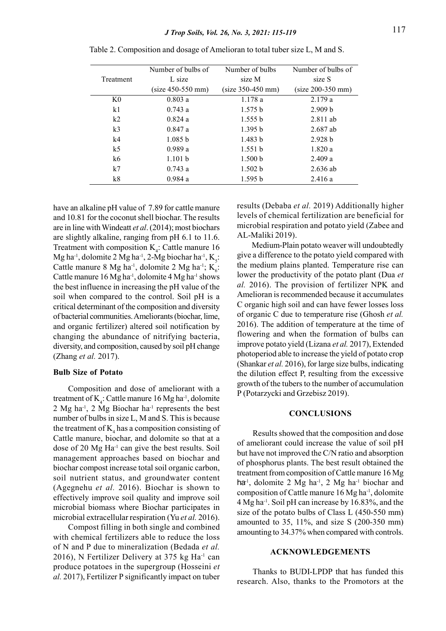|                | Number of bulbs of  | Number of bulbs     | Number of bulbs of  |
|----------------|---------------------|---------------------|---------------------|
| Treatment      | L size              | size M              | size S              |
|                | $(size 450-550 mm)$ | $(size 350-450 mm)$ | $(size 200-350 mm)$ |
| K <sub>0</sub> | 0.803a              | 1.178a              | 2.179a              |
| k <sub>1</sub> | 0.743a              | 1.575 b             | 2.909 b             |
| k2             | 0.824a              | 1.555 b             | $2.811$ ab          |
| k <sub>3</sub> | 0.847a              | 1.395 b             | $2.687$ ab          |
| k4             | 1.085 b             | 1.483 b             | 2.928 b             |
| k <sub>5</sub> | 0.989a              | 1.551 b             | 1.820a              |
| k6             | 1.101 b             | 1.500 b             | 2.409a              |
| k7             | 0.743a              | 1.502 b             | $2.636$ ab          |
| k8             | 0.984a              | 1.595 b             | 2.416a              |

Table 2. Composition and dosage of Amelioran to total tuber size L, M and S.

have an alkaline pH value of 7.89 for cattle manure and 10.81 for the coconut shell biochar. The results are in line with Windeatt et al. (2014); most biochars are slightly alkaline, ranging from pH 6.1 to 11.6. Treatment with composition  $K_4$ : Cattle manure 16 Mg ha<sup>-1</sup>, dolomite 2 Mg ha<sup>-1</sup>, 2-Mg biochar ha<sup>-1</sup>, K<sub>5</sub>: Cattle manure 8 Mg ha<sup>-1</sup>, dolomite 2 Mg ha<sup>-1</sup>;  $K_{6}$ : Cattle manure  $16$  Mg ha<sup>-1</sup>, dolomite  $4$  Mg ha<sup>-1</sup> shows the best influence in increasing the pH value of the soil when compared to the control. Soil pH is a critical determinant of the composition and diversity of bacterial communities. Ameliorants (biochar, lime, and organic fertilizer) altered soil notification by changing the abundance of nitrifying bacteria, diversity, and composition, caused by soil pH change (Zhang et al. 2017).

#### Bulb Size of Potato

Composition and dose of ameliorant with a treatment of  $K_4$ : Cattle manure 16 Mg ha<sup>-1</sup>, dolomite  $2$  Mg ha<sup>-1</sup>,  $2$  Mg Biochar ha<sup>-1</sup> represents the best number of bulbs in size L, M and S. This is because the treatment of  $\mathrm{K}_4$  has a composition consisting of Cattle manure, biochar, and dolomite so that at a dose of 20 Mg Ha-1 can give the best results. Soil management approaches based on biochar and biochar compost increase total soil organic carbon, soil nutrient status, and groundwater content (Agegnehu et al. 2016). Biochar is shown to effectively improve soil quality and improve soil microbial biomass where Biochar participates in microbial extracellular respiration (Yu et al. 2016).

Compost filling in both single and combined with chemical fertilizers able to reduce the loss of N and P due to mineralization (Bedada et al. 2016), N Fertilizer Delivery at  $375$  kg Ha<sup>-1</sup> can produce potatoes in the supergroup (Hosseini et al. 2017), Fertilizer P significantly impact on tuber results (Debaba et al. 2019) Additionally higher levels of chemical fertilization are beneficial for microbial respiration and potato yield (Zabee and AL-Maliki 2019).

Medium-Plain potato weaver will undoubtedly give a difference to the potato yield compared with the medium plains planted. Temperature rise can lower the productivity of the potato plant (Dua et al. 2016). The provision of fertilizer NPK and Amelioran is recommended because it accumulates C organic high soil and can have fewer losses loss of organic C due to temperature rise (Ghosh et al. 2016). The addition of temperature at the time of flowering and when the formation of bulbs can improve potato yield (Lizana et al. 2017), Extended photoperiod able to increase the yield of potato crop (Shankar et al. 2016), for large size bulbs, indicating the dilution effect P, resulting from the excessive growth of the tubers to the number of accumulation P (Potarzycki and Grzebisz 2019).

## **CONCLUSIONS**

Results showed that the composition and dose of ameliorant could increase the value of soil pH but have not improved the C/N ratio and absorption of phosphorus plants. The best result obtained the treatment from composition of Cattle manure 16 Mg ha<sup>-1</sup>, dolomite 2 Mg ha<sup>-1</sup>, 2 Mg ha<sup>-1</sup> biochar and composition of Cattle manure 16 Mg ha-1, dolomite 4 Mg ha-1. Soil pH can increase by 16.83%, and the size of the potato bulbs of Class L (450-550 mm) amounted to 35, 11%, and size S (200-350 mm) amounting to 34.37% when compared with controls.

#### ACKNOWLEDGEMENTS

Thanks to BUDI-LPDP that has funded this research. Also, thanks to the Promotors at the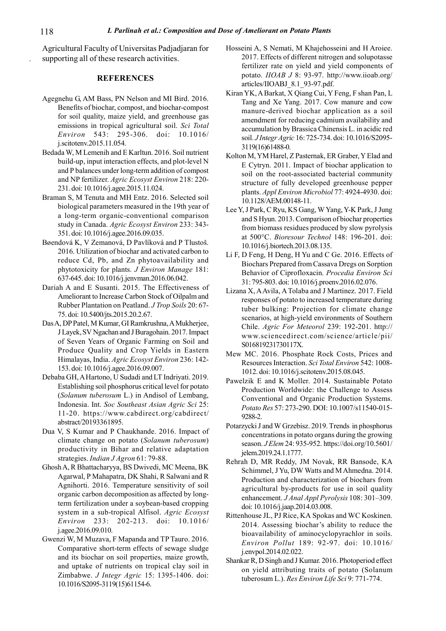Agricultural Faculty of Universitas Padjadjaran for supporting all of these research activities.

## **REFERENCES**

- Agegnehu G, AM Bass, PN Nelson and MI Bird. 2016. Benefits of biochar, compost, and biochar-compost for soil quality, maize yield, and greenhouse gas emissions in tropical agricultural soil. Sci Total Environ 543: 295-306. doi: 10.1016/ j.scitotenv.2015.11.054.
- Bedada W, M Lemenih and E Karltun. 2016. Soil nutrient build-up, input interaction effects, and plot-level N and P balances under long-term addition of compost and NP fertilizer. Agric Ecosyst Environ 218: 220- 231. doi: 10.1016/j.agee.2015.11.024.
- Braman S, M Tenuta and MH Entz. 2016. Selected soil biological parameters measured in the 19th year of a long-term organic-conventional comparison study in Canada. Agric Ecosyst Environ 233: 343- 351. doi: 10.1016/j.agee.2016.09.035.
- Bøendová K, V Zemanová, D Pavlíková and P Tlustoš. 2016. Utilization of biochar and activated carbon to reduce Cd, Pb, and Zn phytoavailability and phytotoxicity for plants. J Environ Manage 181: 637-645. doi: 10.1016/j.jenvman.2016.06.042.
- Dariah A and E Susanti. 2015. The Effectiveness of Ameliorant to Increase Carbon Stock of Oilpalm and Rubber Plantation on Peatland. J Trop Soils 20: 67- 75. doi: 10.5400/jts.2015.20.2.67.
- Das A, DP Patel, M Kumar, GI Ramkrushna, A Mukherjee, J Layek, SV Ngachan and J Buragohain. 2017. Impact of Seven Years of Organic Farming on Soil and Produce Quality and Crop Yields in Eastern Himalayas, India. Agric Ecosyst Environ 236: 142- 153. doi: 10.1016/j.agee.2016.09.007.
- Debaba GH, A Hartono, U Sudadi and LT Indriyati. 2019. Establishing soil phosphorus critical level for potato (Solanum tuberosum L.) in Andisol of Lembang, Indonesia. Int. Soc Southeast Asian Agric Sci 25: 11-20. https://www.cabdirect.org/cabdirect/ abstract/20193361895.
- Dua V, S Kumar and P Chaukhande. 2016. Impact of climate change on potato (Solanum tuberosum) productivity in Bihar and relative adaptation strategies. Indian J Agron 61: 79-88.
- Ghosh A, R Bhattacharyya, BS Dwivedi, MC Meena, BK Agarwal, P Mahapatra, DK Shahi, R Salwani and R Agnihorti. 2016. Temperature sensitivity of soil organic carbon decomposition as affected by longterm fertilization under a soybean-based cropping system in a sub-tropical Alfisol. Agric Ecosyst Environ 233: 202-213. doi: 10.1016/ j.agee.2016.09.010.
- Gwenzi W, M Muzava, F Mapanda and TP Tauro. 2016. Comparative short-term effects of sewage sludge and its biochar on soil properties, maize growth, and uptake of nutrients on tropical clay soil in Zimbabwe. J Integr Agric 15: 1395-1406. doi: 10.1016/S2095-3119(15)61154-6.
- Hosseini A, S Nemati, M Khajehosseini and H Aroiee. 2017. Effects of different nitrogen and solupotasse fertilizer rate on yield and yield components of potato. IIOAB J 8: 93-97. http://www.iioab.org/ articles/IIOABJ\_8.1\_93-97.pdf.
- Kiran YK, A Barkat, X Qiang Cui, Y Feng, F shan Pan, L Tang and Xe Yang. 2017. Cow manure and cow manure-derived biochar application as a soil amendment for reducing cadmium availability and accumulation by Brassica Chinensis L. in acidic red soil. J Integr Agric 16: 725-734. doi: 10.1016/S2095- 3119(16)61488-0.
- Kolton M, YM Harel, Z Pasternak, ER Graber, Y Elad and E Cytryn. 2011. Impact of biochar application to soil on the root-associated bacterial community structure of fully developed greenhouse pepper plants. Appl Environ Microbiol 77: 4924-4930. doi: 10.1128/AEM.00148-11.
- Lee Y, J Park, C Ryu, KS Gang, W Yang, Y-K Park, J Jung and S Hyun. 2013. Comparison of biochar properties from biomass residues produced by slow pyrolysis at 500°C. Bioresour Technol 148: 196-201. doi: 10.1016/j.biortech.2013.08.135.
- Li F, D Feng, H Deng, H Yu and C Ge. 2016. Effects of Biochars Prepared from Cassava Dregs on Sorption Behavior of Ciprofloxacin. Procedia Environ Sci 31: 795-803. doi: 10.1016/j.proenv.2016.02.076.
- Lizana X, A Avila, A Tolaba and J Martinez. 2017. Field responses of potato to increased temperature during tuber bulking: Projection for climate change scenarios, at high-yield environments of Southern Chile. Agric For Meteorol 239: 192-201. http:// www.sciencedirect.com/science/article/pii/ S016819231730117X.
- Mew MC. 2016. Phosphate Rock Costs, Prices and Resources Interaction. Sci Total Environ 542: 1008- 1012. doi: 10.1016/j.scitotenv.2015.08.045.
- Pawelzik E and K Moller. 2014. Sustainable Potato Production Worldwide: the Challenge to Assess Conventional and Organic Production Systems. Potato Res 57: 273-290. DOI: 10.1007/s11540-015- 9288-2.
- Potarzycki J and W Grzebisz. 2019. Trends in phosphorus concentrations in potato organs during the growing season. J Elem 24: 935-952. https://doi.org/10.5601/ jelem.2019.24.1.1777.
- Rehrah D, MR Reddy, JM Novak, RR Bansode, KA Schimmel, J Yu, DW Watts and M Ahmedna. 2014. Production and characterization of biochars from agricultural by-products for use in soil quality enhancement. J Anal Appl Pyrolysis 108: 301–309. doi: 10.1016/j.jaap.2014.03.008.
- Rittenhouse JL, PJ Rice, KA Spokas and WC Koskinen. 2014. Assessing biochar's ability to reduce the bioavailability of aminocyclopyrachlor in soils. Environ Pollut 189: 92-97. doi: 10.1016/ j.envpol.2014.02.022.
- Shankar R, D Singh and J Kumar. 2016. Photoperiod effect on yield attributing traits of potato (Solanum tuberosum L.). Res Environ Life Sci 9: 771-774.